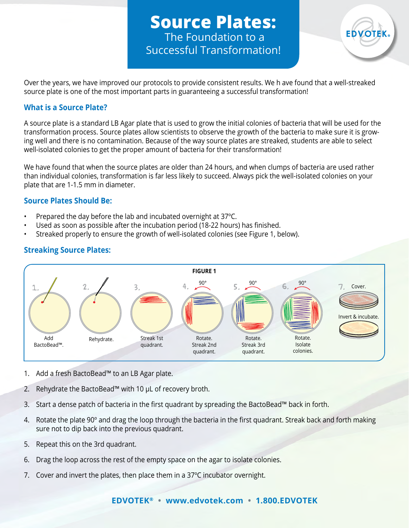**Source Plates:** The Foundation to a Successful Transformation!



Over the years, we have improved our protocols to provide consistent results. We h ave found that a well-streaked source plate is one of the most important parts in guaranteeing a successful transformation!

#### **What is a Source Plate?**

A source plate is a standard LB Agar plate that is used to grow the initial colonies of bacteria that will be used for the transformation process. Source plates allow scientists to observe the growth of the bacteria to make sure it is growing well and there is no contamination. Because of the way source plates are streaked, students are able to select well-isolated colonies to get the proper amount of bacteria for their transformation!

We have found that when the source plates are older than 24 hours, and when clumps of bacteria are used rather than individual colonies, transformation is far less likely to succeed. Always pick the well-isolated colonies on your plate that are 1-1.5 mm in diameter.

#### **Source Plates Should Be:**

- Prepared the day before the lab and incubated overnight at 37°C.
- Used as soon as possible after the incubation period (18-22 hours) has finished.
- Streaked properly to ensure the growth of well-isolated colonies (see Figure 1, below).

# **Streaking Source Plates:**



- 1. Add a fresh BactoBead™ to an LB Agar plate.
- 2. Rehydrate the BactoBead™ with 10 µL of recovery broth.
- 3. Start a dense patch of bacteria in the first quadrant by spreading the BactoBead™ back in forth.
- 4. Rotate the plate 90° and drag the loop through the bacteria in the first quadrant. Streak back and forth making sure not to dip back into the previous quadrant.
- 5. Repeat this on the 3rd quadrant.
- 6. Drag the loop across the rest of the empty space on the agar to isolate colonies.
- 7. Cover and invert the plates, then place them in a 37ºC incubator overnight.